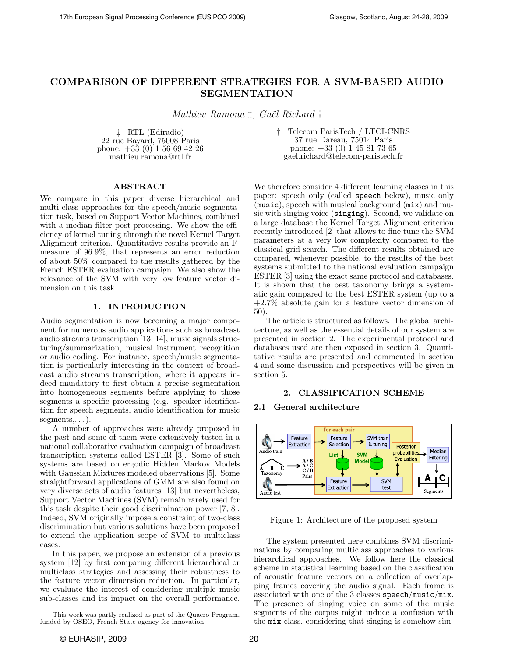# COMPARISON OF DIFFERENT STRATEGIES FOR A SVM-BASED AUDIO SEGMENTATION

Mathieu Ramona  $\ddagger$ , Gaël Richard  $\dagger$ 

‡ RTL (Ediradio) 22 rue Bayard, 75008 Paris phone: +33 (0) 1 56 69 42 26 mathieu.ramona@rtl.fr

† Telecom ParisTech / LTCI-CNRS 37 rue Dareau, 75014 Paris phone: +33 (0) 1 45 81 73 65 gael.richard@telecom-paristech.fr

# ABSTRACT

We compare in this paper diverse hierarchical and multi-class approaches for the speech/music segmentation task, based on Support Vector Machines, combined with a median filter post-processing. We show the efficiency of kernel tuning through the novel Kernel Target Alignment criterion. Quantitative results provide an Fmeasure of 96.9%, that represents an error reduction of about 50% compared to the results gathered by the French ESTER evaluation campaign. We also show the relevance of the SVM with very low feature vector dimension on this task.

# 1. INTRODUCTION

Audio segmentation is now becoming a major component for numerous audio applications such as broadcast audio streams transcription [13, 14], music signals structuring/summarization, musical instrument recognition or audio coding. For instance, speech/music segmentation is particularly interesting in the context of broadcast audio streams transcription, where it appears indeed mandatory to first obtain a precise segmentation into homogeneous segments before applying to those segments a specific processing (e.g. speaker identification for speech segments, audio identification for music  $segments, \ldots$ ).

A number of approaches were already proposed in the past and some of them were extensively tested in a national collaborative evaluation campaign of broadcast transcription systems called ESTER [3]. Some of such systems are based on ergodic Hidden Markov Models with Gaussian Mixtures modeled observations [5]. Some straightforward applications of GMM are also found on very diverse sets of audio features [13] but nevertheless, Support Vector Machines (SVM) remain rarely used for this task despite their good discrimination power [7, 8]. Indeed, SVM originally impose a constraint of two-class discrimination but various solutions have been proposed to extend the application scope of SVM to multiclass cases.

In this paper, we propose an extension of a previous system [12] by first comparing different hierarchical or multiclass strategies and assessing their robustness to the feature vector dimension reduction. In particular, we evaluate the interest of considering multiple music sub-classes and its impact on the overall performance. We therefore consider 4 different learning classes in this paper: speech only (called speech below), music only (music), speech with musical background (mix) and music with singing voice (singing). Second, we validate on a large database the Kernel Target Alignment criterion recently introduced [2] that allows to fine tune the SVM parameters at a very low complexity compared to the classical grid search. The different results obtained are compared, whenever possible, to the results of the best systems submitted to the national evaluation campaign ESTER [3] using the exact same protocol and databases. It is shown that the best taxonomy brings a systematic gain compared to the best ESTER system (up to a +2.7% absolute gain for a feature vector dimension of

50). The article is structured as follows. The global architecture, as well as the essential details of our system are presented in section 2. The experimental protocol and databases used are then exposed in section 3. Quantitative results are presented and commented in section 4 and some discussion and perspectives will be given in section 5.

# 2. CLASSIFICATION SCHEME

# 2.1 General architecture



Figure 1: Architecture of the proposed system

The system presented here combines SVM discriminations by comparing multiclass approaches to various hierarchical approaches. We follow here the classical scheme in statistical learning based on the classification of acoustic feature vectors on a collection of overlapping frames covering the audio signal. Each frame is associated with one of the 3 classes speech/music/mix. The presence of singing voice on some of the music segments of the corpus might induce a confusion with the mix class, considering that singing is somehow sim-

This work was partly realized as part of the Quaero Program, funded by OSEO, French State agency for innovation.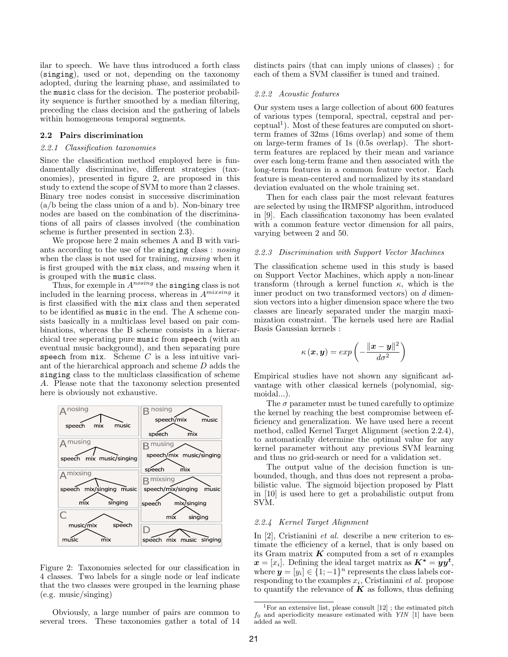ilar to speech. We have thus introduced a forth class (singing), used or not, depending on the taxonomy adopted, during the learning phase, and assimilated to the music class for the decision. The posterior probability sequence is further smoothed by a median filtering, preceding the class decision and the gathering of labels within homogeneous temporal segments.

# 2.2 Pairs discrimination

#### 2.2.1 Classification taxonomies

Since the classification method employed here is fundamentally discriminative, different strategies (taxonomies), presented in figure 2, are proposed in this study to extend the scope of SVM to more than 2 classes. Binary tree nodes consist in successive discrimination (a/b being the class union of a and b). Non-binary tree nodes are based on the combination of the discriminations of all pairs of classes involved (the combination scheme is further presented in section 2.3).

We propose here 2 main schemes A and B with variants according to the use of the singing class : nosing when the class is not used for training, *mixsing* when it is first grouped with the mix class, and musing when it is grouped with the music class.

Thus, for exemple in  $A^{nosing}$  the singing class is not included in the learning process, whereas in  $A^{mixsing}$  it is first classified with the mix class and then seperated to be identified as music in the end. The A scheme consists basically in a multiclass level based on pair combinations, whereas the B scheme consists in a hierarchical tree seperating pure music from speech (with an eventual music background), and then separating pure speech from  $mix$ . Scheme  $C$  is a less intuitive variant of the hierarchical approach and scheme D adds the singing class to the multiclass classification of scheme A. Please note that the taxonomy selection presented here is obviously not exhaustive.



Figure 2: Taxonomies selected for our classification in 4 classes. Two labels for a single node or leaf indicate that the two classes were grouped in the learning phase (e.g. music/singing)

Obviously, a large number of pairs are common to several trees. These taxonomies gather a total of 14

distincts pairs (that can imply unions of classes) ; for each of them a SVM classifier is tuned and trained.

### 2.2.2 Acoustic features

Our system uses a large collection of about 600 features of various types (temporal, spectral, cepstral and perceptual<sup>1</sup>). Most of these features are computed on shortterm frames of 32ms (16ms overlap) and some of them on large-term frames of 1s (0.5s overlap). The shortterm features are replaced by their mean and variance over each long-term frame and then associated with the long-term features in a common feature vector. Each feature is mean-centered and normalized by its standard deviation evaluated on the whole training set.

Then for each class pair the most relevant features are selected by using the IRMFSP algorithm, introduced in [9]. Each classification taxonomy has been evalated with a common feature vector dimension for all pairs, varying between 2 and 50.

# 2.2.3 Discrimination with Support Vector Machines

The classification scheme used in this study is based on Support Vector Machines, which apply a non-linear transform (through a kernel function  $\kappa$ , which is the inner product on two transformed vectors) on d dimension vectors into a higher dimension space where the two classes are linearly separated under the margin maximization constraint. The kernels used here are Radial Basis Gaussian kernels :

$$
\kappa(\boldsymbol{x}, \boldsymbol{y}) = exp\left(-\frac{\|\boldsymbol{x} - \boldsymbol{y}\|^2}{d\sigma^2}\right)
$$

Empirical studies have not shown any significant advantage with other classical kernels (polynomial, sigmoidal...).

The  $\sigma$  parameter must be tuned carefully to optimize the kernel by reaching the best compromise between efficiency and generalization. We have used here a recent method, called Kernel Target Alignment (section 2.2.4), to automatically determine the optimal value for any kernel parameter without any previous SVM learning and thus no grid-search or need for a validation set.

The output value of the decision function is unbounded, though, and thus does not represent a probabilistic value. The sigmoid bijection proposed by Platt in [10] is used here to get a probabilistic output from SVM.

### 2.2.4 Kernel Target Alignment

In [2], Cristianini *et al.* describe a new criterion to estimate the efficiency of a kernel, that is only based on its Gram matrix  $\boldsymbol{K}$  computed from a set of n examples  $\boldsymbol{x} = [x_i]$ . Defining the ideal target matrix as  $\boldsymbol{K^*} = \boldsymbol{yy^t}$ , where  $y = [y_i] \in \{1, -1\}^n$  represents the class labels corresponding to the examples  $x_i$ , Cristianini et al. propose to quantify the relevance of  $K$  as follows, thus defining

<sup>&</sup>lt;sup>1</sup>For an extensive list, please consult  $[12]$ ; the estimated pitch  $f_0$  and aperiodicity measure estimated with YIN [1] have been added as well.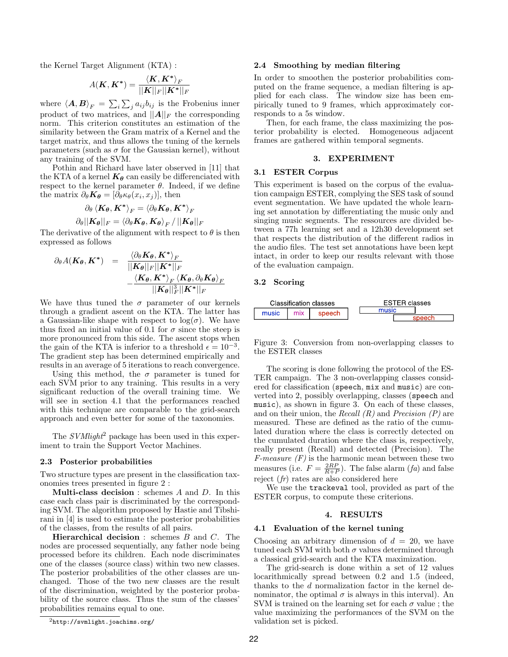the Kernel Target Alignment (KTA) :

$$
A(\boldsymbol K, \boldsymbol K^*) = \frac{\langle \boldsymbol K, \boldsymbol K^* \rangle_F}{||\boldsymbol K||_F ||\boldsymbol K^*||_F}
$$

where  $\langle \bm{A}, \bm{B} \rangle_F = \sum_i \sum_j a_{ij} b_{ij}$  is the Frobenius inner product of two matrices, and  $||A||_F$  the corresponding norm. This criterion constitutes an estimation of the similarity between the Gram matrix of a Kernel and the target matrix, and thus allows the tuning of the kernels parameters (such as  $\sigma$  for the Gaussian kernel), without any training of the SVM.

Pothin and Richard have later observed in [11] that the KTA of a kernel  $K_{\theta}$  can easily be differenciated with respect to the kernel parameter  $\theta$ . Indeed, if we define the matrix  $\partial_{\theta} \mathbf{K}_{\theta} = [\partial_{\theta} \kappa_{\theta}(x_i, x_j)],$  then

$$
\frac{\partial_{\theta}\left\langle \boldsymbol{K_{\theta}},\boldsymbol{K^{*}}\right\rangle_{F}=\left\langle \partial_{\theta}\boldsymbol{K_{\theta}},\boldsymbol{K^{*}}\right\rangle_{F}}{\partial_{\theta}||\boldsymbol{K_{\theta}}||_{F}=\left\langle \partial_{\theta}\boldsymbol{K_{\theta}},\boldsymbol{K_{\theta}}\right\rangle_{F}}/\left|\left|\boldsymbol{K_{\theta}}\right|\right|_{F}}
$$

The derivative of the alignment with respect to  $\theta$  is then expressed as follows

$$
\partial_{\theta} A(\mathbf{K}_{\theta}, \mathbf{K}^*) = \frac{\langle \partial_{\theta} \mathbf{K}_{\theta}, \mathbf{K}^* \rangle_F}{\|\mathbf{K}_{\theta}\|_F \|\mathbf{K}^*\|_F} - \frac{\langle \mathbf{K}_{\theta}, \mathbf{K}^* \rangle_F \langle \mathbf{K}_{\theta}, \partial_{\theta} \mathbf{K}_{\theta} \rangle_F}{\|\mathbf{K}_{\theta}\|_F^3 \|\mathbf{K}^*\|_F}
$$

We have thus tuned the  $\sigma$  parameter of our kernels through a gradient ascent on the KTA. The latter has a Gaussian-like shape with respect to  $log(σ)$ . We have thus fixed an initial value of 0.1 for  $\sigma$  since the steep is more pronounced from this side. The ascent stops when the gain of the KTA is inferior to a threshold  $\epsilon = 10^{-3}$ . The gradient step has been determined empirically and results in an average of 5 iterations to reach convergence.

Using this method, the  $\sigma$  parameter is tuned for each SVM prior to any training. This results in a very significant reduction of the overall training time. We will see in section 4.1 that the performances reached with this technique are comparable to the grid-search approach and even better for some of the taxonomies.

The SVMlight<sup>2</sup> package has been used in this experiment to train the Support Vector Machines.

## 2.3 Posterior probabilities

Two structure types are present in the classification taxonomies trees presented in figure 2 :

**Multi-class decision**: schemes  $A$  and  $D$ . In this case each class pair is discriminated by the corresponding SVM. The algorithm proposed by Hastie and Tibshirani in [4] is used to estimate the posterior probabilities of the classes, from the results of all pairs.

**Hierarchical decision**: schemes  $B$  and  $C$ . The nodes are processed sequentially, any father node being processed before its children. Each node discriminates one of the classes (source class) within two new classes. The posterior probabilities of the other classes are unchanged. Those of the two new classes are the result of the discrimination, weighted by the posterior probability of the source class. Thus the sum of the classes' probabilities remains equal to one.

### $^{2}$ http://svmlight.joachims.org/

#### 2.4 Smoothing by median filtering

In order to smoothen the posterior probabilities computed on the frame sequence, a median filtering is applied for each class. The window size has been empirically tuned to 9 frames, which approximately corresponds to a 5s window.

Then, for each frame, the class maximizing the posterior probability is elected. Homogeneous adjacent frames are gathered within temporal segments.

### 3. EXPERIMENT

# 3.1 ESTER Corpus

This experiment is based on the corpus of the evaluation campaign ESTER, complying the SES task of sound event segmentation. We have updated the whole learning set annotation by differentiating the music only and singing music segments. The ressources are divided between a 77h learning set and a 12h30 development set that respects the distribution of the different radios in the audio files. The test set annotations have been kept intact, in order to keep our results relevant with those of the evaluation campaign.

# 3.2 Scoring



Figure 3: Conversion from non-overlapping classes to the ESTER classes

The scoring is done following the protocol of the ES-TER campaign. The 3 non-overlapping classes considered for classification (speech, mix and music) are converted into 2, possibly overlapping, classes (speech and music), as shown in figure 3. On each of these classes, and on their union, the Recall  $(R)$  and Precision  $(P)$  are measured. These are defined as the ratio of the cumulated duration where the class is correctly detected on the cumulated duration where the class is, respectively, really present (Recall) and detected (Precision). The *F-measure*  $(F)$  is the harmonic mean between these two measures (i.e.  $F = \frac{2RP}{R+P}$ ). The false alarm (fa) and false reject (fr) rates are also considered here

We use the trackeval tool, provided as part of the ESTER corpus, to compute these criterions.

# 4. RESULTS

### 4.1 Evaluation of the kernel tuning

Choosing an arbitrary dimension of  $d = 20$ , we have tuned each SVM with both  $\sigma$  values determined through a classical grid-search and the KTA maximization.

The grid-search is done within a set of 12 values locarithmically spread between 0.2 and 1.5 (indeed, thanks to the d normalization factor in the kernel denominator, the optimal  $\sigma$  is always in this interval). An SVM is trained on the learning set for each  $\sigma$  value ; the value maximizing the performances of the SVM on the validation set is picked.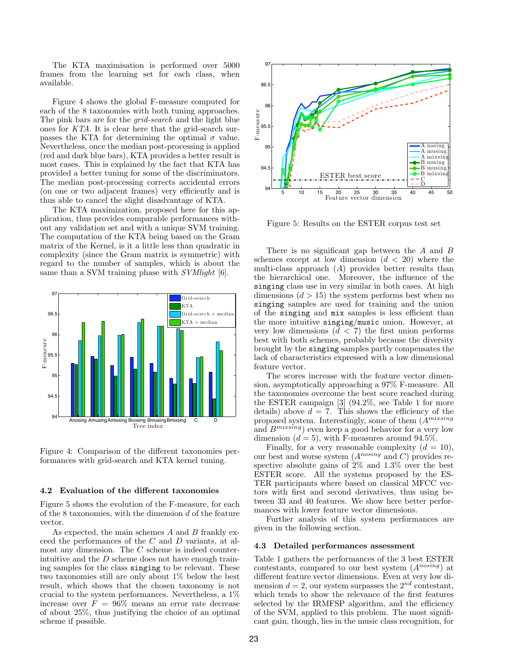The KTA maximisation is performed over 5000 frames from the learning set for each class, when available.

Figure 4 shows the global F-measure computed for each of the 8 taxonomies with both tuning approaches. The pink bars are for the *grid-search* and the light blue ones for KTA. It is clear here that the grid-search surpasses the KTA for determining the optimal  $\sigma$  value. Nevertheless, once the median post-processing is applied (red and dark blue bars), KTA provides a better result is most cases. This is explained by the fact that KTA has provided a better tuning for some of the discriminators. The median post-processing corrects accidental errors (on one or two adjacent frames) very efficiently and is thus able to cancel the slight disadvantage of KTA.

The KTA maximization, proposed here for this application, thus provides comparable performances without any validation set and with a unique SVM training. The computation of the KTA being based on the Gram matrix of the Kernel, is it a little less than quadratic in complexity (since the Gram matrix is symmetric) with regard to the number of samples, which is about the same than a SVM training phase with SVMlight [6].



Figure 4: Comparison of the different taxonomies performances with grid-search and KTA kernel tuning.

### 4.2 Evaluation of the different taxonomies

Figure 5 shows the evolution of the F-measure, for each of the 8 taxonomies, with the dimension  $d$  of the feature vector.

As expected, the main schemes  $A$  and  $B$  frankly exceed the performances of the C and D variants, at almost any dimension. The C scheme is indeed counterintuitive and the  $D$  scheme does not have enough training samples for the class singing to be relevant. These two taxonomies still are only about 1% below the best result, which shows that the chosen taxonomy is not crucial to the system performances. Nevertheless, a 1% increase over  $F = 96\%$  means an error rate decrease of about 25%, thus justifying the choice of an optimal scheme if possible.



Figure 5: Results on the ESTER corpus test set

There is no significant gap between the  $A$  and  $B$ schemes except at low dimension  $(d < 20)$  where the multi-class approach  $(A)$  provides better results than the hierarchical one. Moreover, the influence of the singing class use in very similar in both cases. At high dimensions  $(d > 15)$  the system performs best when no singing samples are used for training and the union of the singing and mix samples is less efficient than the more intuitive singing/music union. However, at very low dimensions  $(d < 7)$  the first union performs best with both schemes, probably because the diversity brought by the singing samples partly compensates the lack of characteristics expressed with a low dimensional feature vector.

The scores increase with the feature vector dimension, asymptotically approaching a 97% F-measure. All the taxonomies overcome the best score reached during the ESTER campaign [3] (94.2%, see Table 1 for more details) above  $d = 7$ . This shows the efficiency of the proposed system. Interestingly, some of them  $(A^{mixsing})$ and  $B^{mixsing}$ ) even keep a good behavior for a very low dimension  $(d = 5)$ , with F-measures around 94.5%.

Finally, for a very reasonable complexity  $(d = 10)$ , our best and worse system  $(A^{nosing} \text{ and } C)$  provides respective absolute gains of 2% and 1.3% over the best ESTER score. All the systems proposed by the ES-TER participants where based on classical MFCC vectors with first and second derivatives, thus using between 33 and 40 features. We show here better performances with lower feature vector dimensions.

Further analysis of this system performances are given in the following section.

### 4.3 Detailed performances assessment

Table 1 gathers the performances of the 3 best ESTER contestants, compared to our best system  $(A^{nosing})$  at different feature vector dimensions. Even at very low dimension  $d = 2$ , our system surpasses the  $2^{nd}$  contestant, which tends to show the relevance of the first features selected by the IRMFSP algorithm, and the efficiency of the SVM, applied to this problem. The most significant gain, though, lies in the music class recognition, for